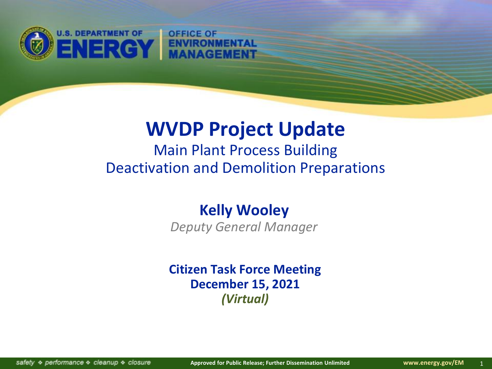

## **WVDP Project Update**

Main Plant Process Building Deactivation and Demolition Preparations

#### **Kelly Wooley**

*Deputy General Manager*

**Citizen Task Force Meeting December 15, 2021** *(Virtual)*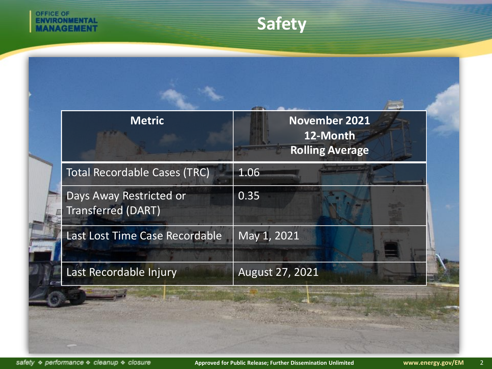

## **Safety**

| <b>Metric</b>                                        | <b>November 2021</b><br>12-Month<br><b>Rolling Average</b> |
|------------------------------------------------------|------------------------------------------------------------|
| <b>Total Recordable Cases (TRC)</b>                  | 1.06                                                       |
| Days Away Restricted or<br><b>Transferred (DART)</b> | 0.35                                                       |
| Last Lost Time Case Recordable                       | May 1, 2021                                                |
| Last Recordable Injury                               | August 27, 2021                                            |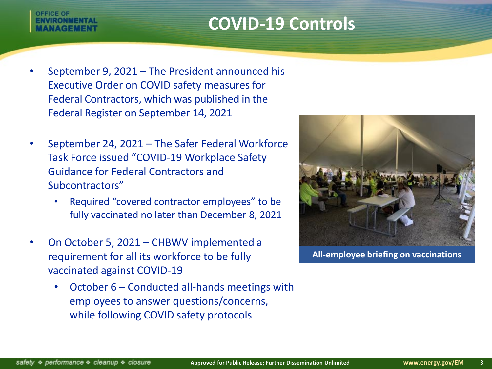## **COVID-19 Controls**

# **DEFICE OF**

- September 9, 2021 The President announced his Executive Order on COVID safety measures for Federal Contractors, which was published in the Federal Register on September 14, 2021
- September 24, 2021 The Safer Federal Workforce Task Force issued "COVID-19 Workplace Safety Guidance for Federal Contractors and Subcontractors"
	- Required "covered contractor employees" to be fully vaccinated no later than December 8, 2021
- On October 5, 2021 CHBWV implemented a requirement for all its workforce to be fully vaccinated against COVID-19
	- October 6 Conducted all-hands meetings with employees to answer questions/concerns, while following COVID safety protocols



**All-employee briefing on vaccinations**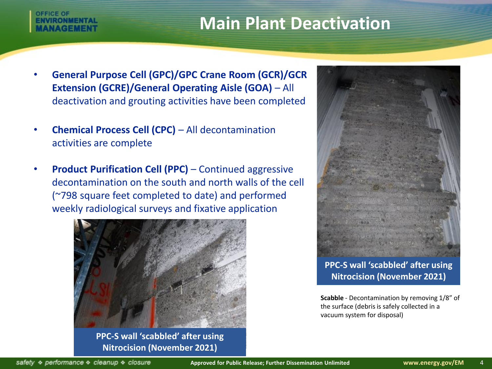## **Main Plant Deactivation**

# *DEFICE OF*

- **General Purpose Cell (GPC)/GPC Crane Room (GCR)/GCR Extension (GCRE)/General Operating Aisle (GOA)** – All deactivation and grouting activities have been completed
- **Chemical Process Cell (CPC)**  All decontamination activities are complete
- **Product Purification Cell (PPC)** Continued aggressive decontamination on the south and north walls of the cell (~798 square feet completed to date) and performed weekly radiological surveys and fixative application



**PPC-S wall 'scabbled' after using Nitrocision (November 2021)**



**PPC-S wall 'scabbled' after using Nitrocision (November 2021)**

**Scabble** - Decontamination by removing 1/8" of the surface (debris is safely collected in a vacuum system for disposal)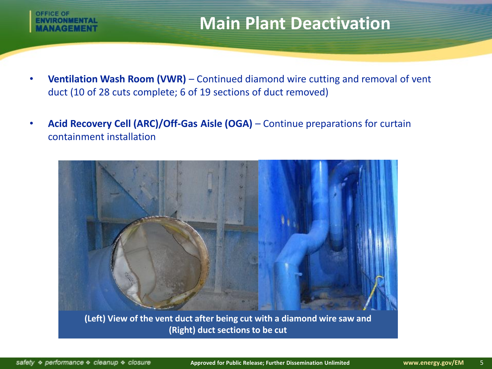# **DEFICE OF**

## **Main Plant Deactivation**

- **Ventilation Wash Room (VWR)** Continued diamond wire cutting and removal of vent duct (10 of 28 cuts complete; 6 of 19 sections of duct removed)
- **Acid Recovery Cell (ARC)/Off-Gas Aisle (OGA)**  Continue preparations for curtain containment installation



**(Left) View of the vent duct after being cut with a diamond wire saw and (Right) duct sections to be cut**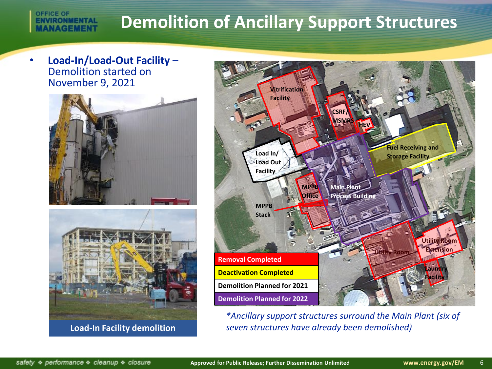## **Demolition of Ancillary Support Structures**

• **Load-In/Load-Out Facility** – Demolition started on November 9, 2021 **Vitrification** 

**OFFICE OF** 

**ENVIRONMENTAL VAGEMENT** 





**Load-In Facility demolition**



*\*Ancillary support structures surround the Main Plant (six of seven structures have already been demolished)*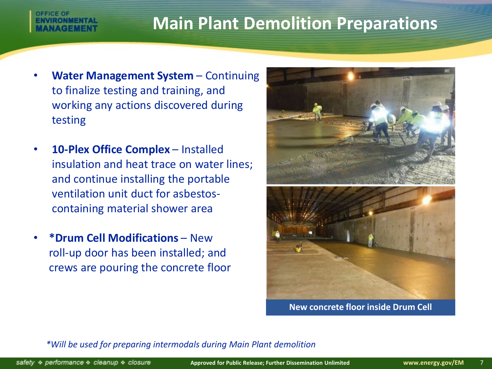### **Main Plant Demolition Preparations**

- **Water Management System**  Continuing to finalize testing and training, and working any actions discovered during testing
- **10-Plex Office Complex**  Installed insulation and heat trace on water lines; and continue installing the portable ventilation unit duct for asbestoscontaining material shower area
- **\*Drum Cell Modifications**  New roll-up door has been installed; and crews are pouring the concrete floor



**New concrete floor inside Drum Cell**

*\*Will be used for preparing intermodals during Main Plant demolition*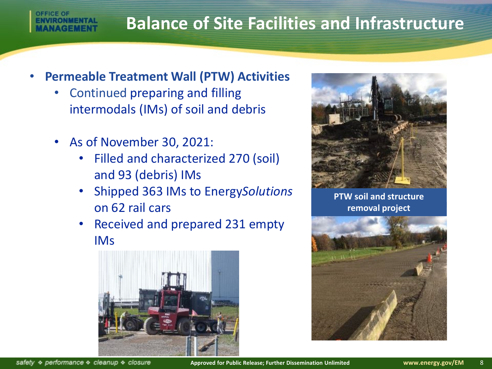## **Balance of Site Facilities and Infrastructure**

#### • **Permeable Treatment Wall (PTW) Activities**

- Continued preparing and filling intermodals (IMs) of soil and debris
- As of November 30, 2021:
	- Filled and characterized 270 (soil) and 93 (debris) IMs
	- Shipped 363 IMs to Energy*Solutions* on 62 rail cars
	- Received and prepared 231 empty IMs





**PTW soil and structure removal project**



safety & performance & cleanup & closure

**DEFICE OF**